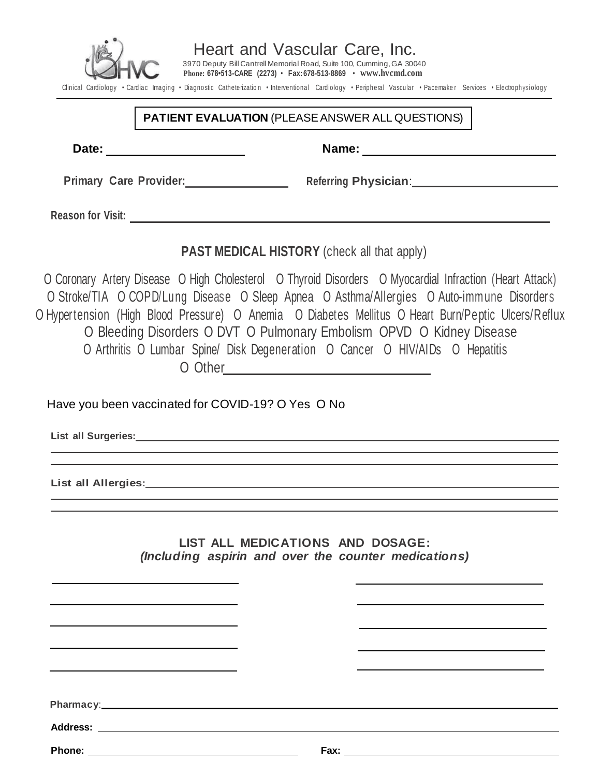

Heart and Vascular Care, Inc. 3970 Deputy Bill Cantrell Memorial Road, Suite 100, Cumming,GA 30040

**Phone: 678•513-CARE (2273)** • **Fax:678-513-8869** • **www.hvcmd.com**

Clinical Cardiology • Cardiac Imaging • Diagnostic Catheterization • Interventional Cardiology • Peripheral Vascular • Pacemaker Services • Electrophysiology

### **PATIENT EVALUATION** (PLEASEANSWER ALL QUESTIONS)

**Date:** Name: **Name:** Name: **Name:** Name: **Name:** Name: **Name:** Name: **Name:** Name: **Name:**  $\mathbb{R}$ 

**Primary** Care Provider: **Referring Physician**: **Referring** 

**Reason for Visit:**

**PAST MEDICAL HISTORY** (check all that apply)

O Coronary Artery Disease O High Cholesterol O Thyroid Disorders O Myocardial Infraction (Heart Attack) <sup>O</sup> Stroke/TIA <sup>O</sup> COPD/Lung Disease <sup>O</sup> Sleep Apnea <sup>O</sup> Asthma/Allergies <sup>O</sup> Auto-imm une Disorders O Hypertension (High Blood Pressure) O Anemia O Diabetes Mellitus O Heart Burn/Peptic Ulcers/Reflux O Bleeding Disorders O DVT O Pulmonary Embolism OPVD O Kidney Disease O Arthritis O Lumbar Spine/ Disk Degeneration O Cancer O HIV/AIDs O Hepatitis O Other

Have you been vaccinated for COVID-19? O Yes O No

**List all Surgeries:**

**List all Allergies:**

**LIST ALL MEDICATIONS AND DOSAGE:** *(Including aspirin and over the counter medications)*

**Pharmacy**:

**Address:** 

**Phone: Fax:**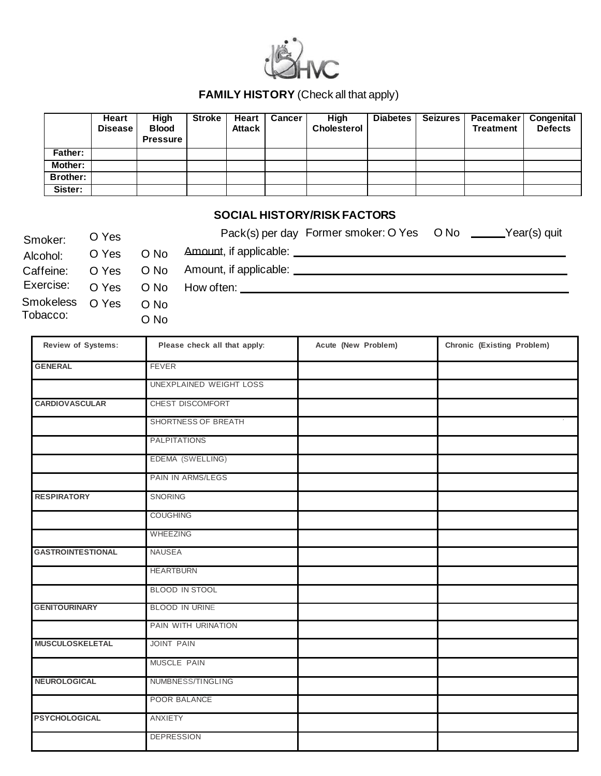

### **FAMILY HISTORY** (Check all that apply)

|          | Heart<br><b>Disease</b> | High<br><b>Blood</b><br><b>Pressure</b> | <b>Stroke</b> | Heart<br><b>Attack</b> | <b>Cancer</b> | High<br><b>Cholesterol</b> | <b>Diabetes</b> | Seizures | <b>Pacemaker Congenital</b><br><b>Treatment</b> | <b>Defects</b> |
|----------|-------------------------|-----------------------------------------|---------------|------------------------|---------------|----------------------------|-----------------|----------|-------------------------------------------------|----------------|
| Father:  |                         |                                         |               |                        |               |                            |                 |          |                                                 |                |
| Mother:  |                         |                                         |               |                        |               |                            |                 |          |                                                 |                |
| Brother: |                         |                                         |               |                        |               |                            |                 |          |                                                 |                |
| Sister:  |                         |                                         |               |                        |               |                            |                 |          |                                                 |                |

### **SOCIAL HISTORY/RISK FACTORS**

| Smoker:         | O Yes |             | Pack(s) per day Former smoker: O Yes O No ______Year(s) quit |
|-----------------|-------|-------------|--------------------------------------------------------------|
| Alcohol:        | O Yes | O No        |                                                              |
| Caffeine:       |       |             |                                                              |
|                 |       |             |                                                              |
| Smokeless O Yes |       | $\Omega$ No |                                                              |
| Tobacco:        |       | O No        |                                                              |

| Review of Systems:       | Please check all that apply: | Acute (New Problem) | Chronic (Existing Problem) |  |  |
|--------------------------|------------------------------|---------------------|----------------------------|--|--|
| <b>GENERAL</b>           | <b>FEVER</b>                 |                     |                            |  |  |
|                          | UNEXPLAINED WEIGHT LOSS      |                     |                            |  |  |
| <b>CARDIOVASCULAR</b>    | CHEST DISCOMFORT             |                     |                            |  |  |
|                          | SHORTNESS OF BREATH          |                     |                            |  |  |
|                          | <b>PALPITATIONS</b>          |                     |                            |  |  |
|                          | EDEMA (SWELLING)             |                     |                            |  |  |
|                          | PAIN IN ARMS/LEGS            |                     |                            |  |  |
| <b>RESPIRATORY</b>       | SNORING                      |                     |                            |  |  |
|                          | <b>COUGHING</b>              |                     |                            |  |  |
|                          | WHEEZING                     |                     |                            |  |  |
| <b>GASTROINTESTIONAL</b> | <b>NAUSEA</b>                |                     |                            |  |  |
|                          | <b>HEARTBURN</b>             |                     |                            |  |  |
|                          | BLOOD IN STOOL               |                     |                            |  |  |
| <b>GENITOURINARY</b>     | <b>BLOOD IN URINE</b>        |                     |                            |  |  |
|                          | PAIN WITH URINATION          |                     |                            |  |  |
| <b>MUSCULOSKELETAL</b>   | <b>JOINT PAIN</b>            |                     |                            |  |  |
|                          | MUSCLE PAIN                  |                     |                            |  |  |
| NEUROLOGICAL             | NUMBNESS/TINGLING            |                     |                            |  |  |
|                          | POOR BALANCE                 |                     |                            |  |  |
| <b>PSYCHOLOGICAL</b>     | <b>ANXIETY</b>               |                     |                            |  |  |
|                          | <b>DEPRESSION</b>            |                     |                            |  |  |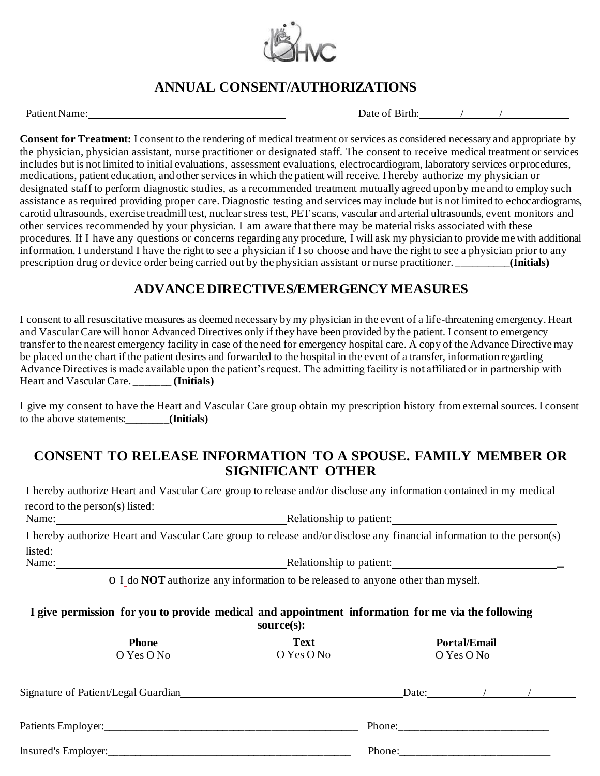

# **ANNUAL CONSENT/AUTHORIZATIONS**

PatientName: Date of Birth: / /

**Consent for Treatment:** I consent to the rendering of medical treatment or services as considered necessary and appropriate by the physician, physician assistant, nurse practitioner or designated staff. The consent to receive medical treatment or services includes but is not limited to initial evaluations, assessment evaluations, electrocardiogram, laboratory services or procedures, medications, patient education, and other services in which the patient will receive. I hereby authorize my physician or designated staff to perform diagnostic studies, as a recommended treatment mutually agreed upon by me and to employ such assistance as required providing proper care. Diagnostic testing and services may include but is not limited to echocardiograms, carotid ultrasounds, exercise treadmill test, nuclear stress test, PET scans, vascular and arterial ultrasounds, event monitors and other services recommended by your physician. I am aware that there may be material risks associated with these procedures. If I have any questions or concerns regarding any procedure, I will ask my physician to provide me with additional information. I understand I have the right to see a physician if I so choose and have the right to see a physician prior to any prescription drug or device order being carried out by the physician assistant or nurse practitioner. \_\_\_\_\_\_\_\_\_\_**(Initials)**

## **ADVANCE DIRECTIVES/EMERGENCY MEASURES**

I consent to all resuscitative measures as deemed necessary by my physician in the event of a life-threatening emergency. Heart and Vascular Care will honor Advanced Directives only if they have been provided by the patient. I consent to emergency transfer to the nearest emergency facility in case of the need for emergency hospital care. A copy of the Advance Directive may be placed on the chart if the patient desires and forwarded to the hospital in the event of a transfer, information regarding Advance Directives is made available upon the patient's request. The admitting facility is not affiliated or in partnership with Heart and Vascular Care. \_\_\_\_\_\_\_ **(Initials)**

I give my consent to have the Heart and Vascular Care group obtain my prescription history from external sources. I consent to the above statements:\_\_\_\_\_\_\_\_**(Initials)**

## **CONSENT TO RELEASE INFORMATION TO A SPOUSE. FAMILY MEMBER OR SIGNIFICANT OTHER**

I hereby authorize Heart and Vascular Care group to release and/or disclose any information contained in my medical record to the person(s) listed:

Name: Name: Name: Relationship to patient: Name: Name: Name: Name: Name: Name: Name: Name: Name: Name: Name: Name: Name: Name: Name: Name: Name: Name: Name: Name: Name: Name: Name: Name: Name: Name: Name: Name: Name: Name:

I hereby authorize Heart and Vascular Care group to release and/or disclose any financial information to the person(s) listed: Name: Relationship to patient: \_

o I do **NOT** authorize any information to be released to anyone other than myself.

### **I give permission for you to provide medical and appointment information for me via the following source(s):**

|                                     | $0001$ $C0$               |       |                                   |  |  |  |
|-------------------------------------|---------------------------|-------|-----------------------------------|--|--|--|
| <b>Phone</b><br>O Yes O No          | <b>Text</b><br>O Yes O No |       | <b>Portal/Email</b><br>O Yes O No |  |  |  |
| Signature of Patient/Legal Guardian |                           | Date: |                                   |  |  |  |
|                                     |                           |       |                                   |  |  |  |
| insured's Empire:                   | Phone:                    |       |                                   |  |  |  |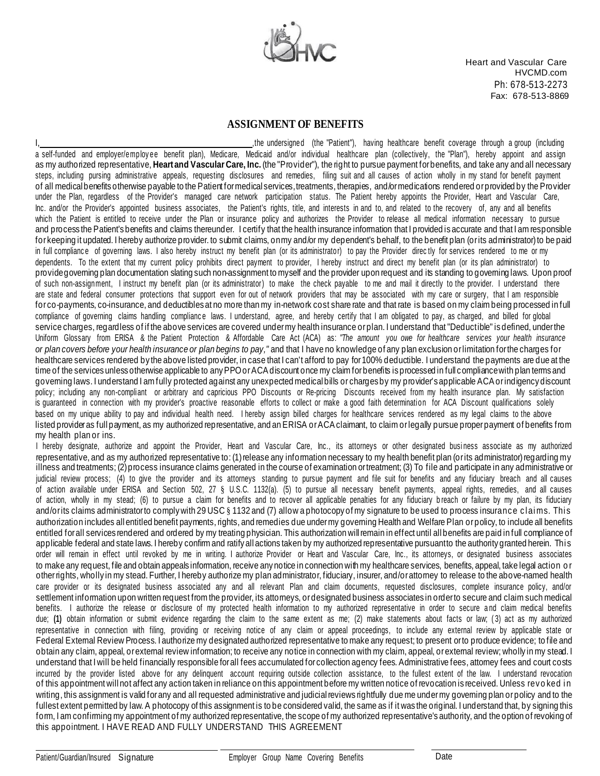

Heart and Vascular Care HVCMD.com Ph: 678-513-2273 Fax: 678-513-8869

#### **ASSIGNMENT OF BENEFITS**

I, the undersigned (the "Patient"), having healthcare benefit coverage through a group (including a self-funded and employer/employee benefit plan), Medicare, Medicaid and/or individual healthcare plan (collectively, the "Plan"), hereby appoint and assign as my authorized representative, **Heartand Vascular Care, Inc.** (the "Provider"), the right to pursue payment forbenefits, and take any and all necessary steps, including pursing administrative appeals, requesting disclosures and remedies, filing suit and all causes of action wholly in my stand for benefit payment of all medical benefits otherwise payable to the Patient for medical services, treatments, therapies, and/or medications rendered or provided by the Provider under the Plan, regardless of the Provider's managed care network participation status. The Patient hereby appoints the Provider, Heart and Vascular Care, Inc. and/or the Provider's appointed business associates, the Patient's rights, title, and interests in and to, and related to the recovery of, any and all benefits which the Patient is entitled to receive under the Plan or insurance policy and authorizes the Provider to release all medical information necessary to pursue and process the Patient's benefits and claims thereunder. I certify that the health insurance information that I provided is accurate and that I am responsible for keeping it updated. I hereby authorize provider, to submit claims, on my and/or my dependent's behalf, to the benefit plan (or its administrator) to be paid in full compliance of governing laws. I also hereby instruct my benefit plan (or its administrator) to pay the Provider directly for services rendered to me or my dependents. To the extent that my current policy prohibits direct payment to provider, I hereby instruct and direct my benefit plan (or its plan administrator) to providegoverning plan documentation slating such non-assignment to myself and the provider upon request and its standing to governing laws. Upon proof of such non-assignment, I instruct my benefit plan (or its administrator) to make the check payable to me and mail it directly to the provider. I understand there are state and federal consumer protections that support even for out of network providers that may be associated with my care or surgery, that I am responsible for co-payments, co-insurance, and deductibles at no more than my in-network cost share rate and that rate is based on my claim being processed in full compliance of governing claims handling compliance laws. I understand, agree, and hereby certify that I am obligated to pay, as charged, and billed for global service charges, regardless of if the above services are covered under my health insurance or plan. I understand that "Deductible" is defined, under the Uniform Glossary from ERISA & the Patient Protection & Affordable Care Act (ACA) as: *"The amount you owe for healthcare services your health insurance or plan covers before your health insurance or plan begins to pay,"* and that I have no knowledge of any plan exclusion or limitation for the charges for healthcare services rendered by the above listed provider, in case that I can't afford to pay for 100% deductible. I understand the payments are due at the time of the services unless otherwise applicable to any PPO or ACA discount once my claim for benefits is processed in full compliance with plan terms and governing laws. I understand I am fully protected against any unexpected medical bills or charges by my provider's applicable ACA or indigency discount policy; including any non-compliant or arbitrary and capricious PPO Discounts or Re-pricing Discounts received from my health insurance plan. My satisfaction is guaranteed in connection with my provider's proactive reasonable efforts to collect or make a good faith determination for ACA Discount qualifications solely based on my unique ability to pay and individual health need. I hereby assign billed charges for healthcare services rendered as my legal claims to the above listed provider as full payment, as my authorized representative, and an ERISA or ACA claimant, to claim or legally pursue proper payment of benefits from my health plan or ins.

I hereby designate, authorize and appoint the Provider, Heart and Vascular Care, Inc., its attorneys or other designated busi ness associate as my authorized representative, and as my authorized representative to: (1) release any information necessary to my health benefit plan (or its administrator) regarding my illness and treatments; (2) process insurance claims generated in the course of examination or treatment; (3) To file and participate in any administrative or judicial review process; (4) to give the provider and its attorneys standing to pursue payment and file suit for benefits and any fiduciary breach and all causes of action available under ERISA and Section 502, 27 § U.S.C. 1132(a). (5) to pursue all necessary benefit payments, appeal rights, remedies, and all causes of action, wholly in my stead; (6) to pursue a claim for benefits and to recover all applicable penalties for any fiduciary b reach or failure by my plan, its fiduciary and/orits claims administratorto comply with 29 USC § 1132 and (7) allow a photocopy of my signature to be used to process insurance claims. This authorization includes all entitled benefit payments, rights, and remedies due undermy governing Health and Welfare Plan orpolicy, to include all benefits entitled forall services rendered and ordered by my treating physician. This authorization willremain in effect until all benefits are paid in full compliance of applicable federal and state laws. I hereby confirm and ratify all actions taken by my authorized representative pursuant to the authority granted herein. This order will remain in effect until revoked by me in writing. I authorize Provider or Heart and Vascular Care, Inc., its attorneys, or designated business associates to make any request, file and obtain appeals information, receive any notice in connection with my healthcare services, benefits, appeal, take legal action or otherrights, wholly in my stead. Further, I hereby authorize my plan administrator, fiduciary, insurer, and/orattorney to release to the above-named health care provider or its designated business associated any and all relevant Plan and claim documents, requested disclosures, complete insurance policy, and/or settlement information upon written request from the provider, its attorneys, or designated business associates in order to secure and claim such medical benefits. I authorize the release or disclosure of my protected health information to my authorized representative in order to secure and claim medical benefits due; (1) obtain information or submit evidence regarding the claim to the same extent as me; (2) make statements about facts or law; (3) act as my authorized representative in connection with filing, providing or receiving notice of any claim or appeal proceedings, to include any external review by applicable state or Federal External Review Process. I authorize my designated authorized representative to make any request; to present orto produce evidence; to file and obtain any claim, appeal, orexternal review information; to receive any notice in connection with my claim, appeal, or external review; wholly in my stead. I understand that I will be held financially responsible for all fees accumulated for collection agency fees. Administrative fees, attorney fees and court costs incurred by the provider listed above for any delinquent account requiring outside collection assistance, to the fullest extent of the law. I understand revocation of this appointment will not affect any action taken in reliance on this appointment before my written notice of revocation is received. Unless rev o ked i n writing, this assignment is valid forany and all requested administrative and judicial reviews rightfully due me under my governing plan or policy and to the fullest extent permitted by law. A photocopy of this assignment is to be considered valid, the same as if it was the original. I understand that, by signing this form, I am confirming my appointment of my authorized representative, the scope of my authorized representative's authority, and the option of revoking of this appointment. I HAVE READ AND FULLY UNDERSTAND THIS AGREEMENT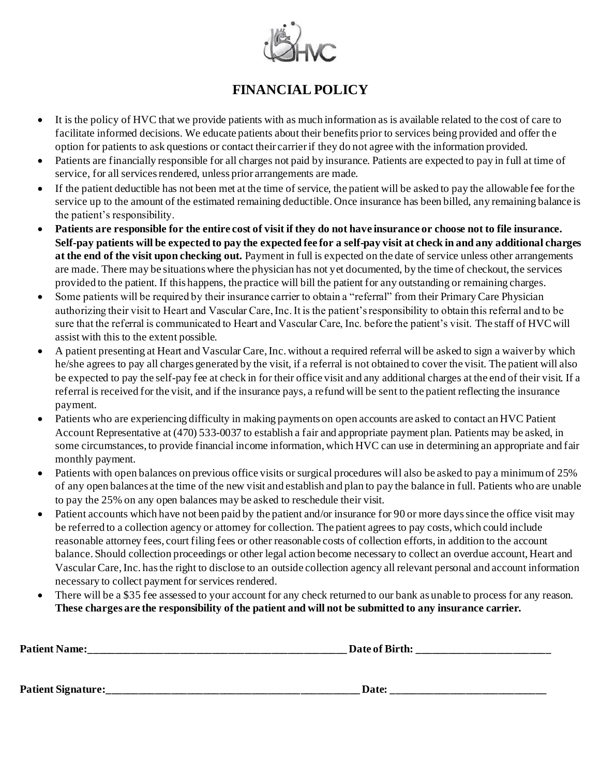

# **FINANCIAL POLICY**

- It is the policy of HVC that we provide patients with as much information as is available related to the cost of care to facilitate informed decisions. We educate patients about their benefits prior to services being provided and offer the option for patients to ask questions or contact their carrier if they do not agree with the information provided.
- Patients are financially responsible for all charges not paid by insurance. Patients are expected to pay in full at time of service, for all services rendered, unless prior arrangements are made.
- If the patient deductible has not been met at the time of service, the patient will be asked to pay the allowable fee for the service up to the amount of the estimated remaining deductible. Once insurance has been billed, any remaining balance is the patient's responsibility.
- **Patients are responsible for the entire cost of visit if they do not have insurance or choose not to file insurance. Self-pay patients will be expected to pay the expected fee for a self-pay visit at check in and any additional charges at the end of the visit upon checking out.** Payment in full is expected on the date of service unless other arrangements are made. There may be situations where the physician has not yet documented, by the time of checkout, the services provided to the patient. If this happens, the practice will bill the patient for any outstanding or remaining charges.
- Some patients will be required by their insurance carrier to obtain a "referral" from their Primary Care Physician authorizing their visit to Heart and Vascular Care, Inc. It is the patient's responsibility to obtain this referral and to be sure that the referral is communicated to Heart and Vascular Care, Inc. before the patient's visit. The staff of HVC will assist with this to the extent possible.
- A patient presenting at Heart and Vascular Care, Inc. without a required referral will be asked to sign a waiver by which he/she agrees to pay all charges generated by the visit, if a referral is not obtained to cover the visit. The patient will also be expected to pay the self-pay fee at check in for their office visit and any additional charges at the end of their visit. If a referral is received for the visit, and if the insurance pays, a refund will be sent to the patient reflecting the insurance payment.
- Patients who are experiencing difficulty in making payments on open accounts are asked to contact an HVC Patient Account Representative at (470) 533-0037 to establish a fair and appropriate payment plan. Patients may be asked, in some circumstances, to provide financial income information, which HVC can use in determining an appropriate and fair monthly payment.
- Patients with open balances on previous office visits or surgical procedures will also be asked to pay a minimum of 25% of any open balances at the time of the new visit and establish and plan to pay the balance in full. Patients who are unable to pay the 25% on any open balances may be asked to reschedule their visit.
- Patient accounts which have not been paid by the patient and/or insurance for 90 or more days since the office visit may be referred to a collection agency or attorney for collection. The patient agrees to pay costs, which could include reasonable attorney fees, court filing fees or other reasonable costs of collection efforts, in addition to the account balance. Should collection proceedings or other legal action become necessary to collect an overdue account, Heart and Vascular Care, Inc. has the right to disclose to an outside collection agency all relevant personal and account information necessary to collect payment for services rendered.
- There will be a \$35 fee assessed to your account for any check returned to our bank as unable to process for any reason. **These charges are the responsibility of the patient and will not be submitted to any insurance carrier.**

| <b>Patient Name:</b>      | Date of Birth: |  |  |
|---------------------------|----------------|--|--|
|                           |                |  |  |
| <b>Patient Signature:</b> | Date:          |  |  |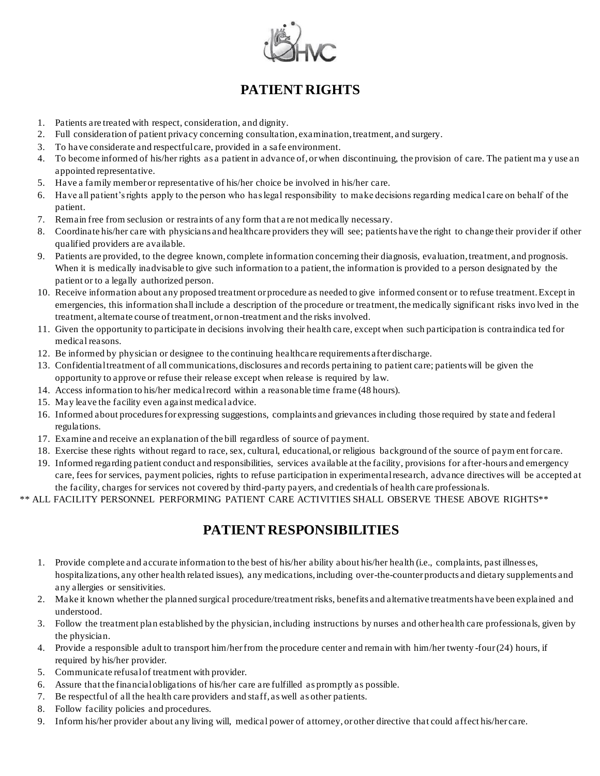

# **PATIENT RIGHTS**

- 1. Patients are treated with respect, consideration, and dignity.
- 2. Full consideration of patient privacy concerning consultation, examination, treatment, and surgery.
- 3. To have considerate and respectful care, provided in a safe environment.
- 4. To become informed of his/her rights as a patient in advance of, or when discontinuing, the provision of care. The patient ma y use an appointed representative.
- 5. Have a family member or representative of his/her choice be involved in his/her care.
- 6. Have all patient's rights apply to the person who has legal responsibility to make decisions regarding medical care on behalf of the patient.
- 7. Remain free from seclusion or restraints of any form that a re not medically necessary.
- 8. Coordinate his/her care with physicians and healthcare providers they will see; patients have the right to change their provider if other qualified providers are available.
- 9. Patients are provided, to the degree known, complete information concerning their diagnosis, evaluation, treatment, and prognosis. When it is medically inadvisable to give such information to a patient, the information is provided to a person designated by the patient or to a legally authorized person.
- 10. Receive information about any proposed treatment or procedure as needed to give informed consent or to refuse treatment. Except in emergencies, this information shall include a description of the procedure or treatment, the medically significant risks invo lved in the treatment, alternate course of treatment, or non-treatment and the risks involved.
- 11. Given the opportunity to participate in decisions involving their health care, except when such participation is contraindica ted for medical reasons.
- 12. Be informed by physician or designee to the continuing healthcare requirements after discharge.
- 13. Confidential treatment of all communications, disclosures and records pertaining to patient care; patients will be given the opportunity to approve or refuse their release except when release is required by law.
- 14. Access information to his/her medical record within a reasonable time frame (48 hours).
- 15. May leave the facility even against medical advice.
- 16. Informed about procedures for expressing suggestions, complaints and grievances including those required by state and federal regulations.
- 17. Examine and receive an explanation of the bill regardless of source of payment.
- 18. Exercise these rights without regard to race, sex, cultural, educational, or religious background of the source of paym ent for care.
- 19. Informed regarding patient conduct and responsibilities, services available at the facility, provisions for after-hours and emergency care, fees for services, payment policies, rights to refuse participation in experimental research, advance directives will be accepted at the facility, charges for services not covered by third-party payers, and credentials of health care professionals.
- \*\* ALL FACILITY PERSONNEL PERFORMING PATIENT CARE ACTIVITIES SHALL OBSERVE THESE ABOVE RIGHTS\*\*

## **PATIENT RESPONSIBILITIES**

- 1. Provide complete and accurate information to the best of his/her ability about his/her health (i.e., complaints, past illness es, hospitalizations, any other health related issues), any medications, including over-the-counter products and dietary supplements and any allergies or sensitivities.
- 2. Make it known whether the planned surgical procedure/treatment risks, benefits and alternative treatments have been explained and understood.
- 3. Follow the treatment plan established by the physician, including instructions by nurses and other health care professionals, given by the physician.
- 4. Provide a responsible adult to transport him/her from the procedure center and remain with him/her twenty -four (24) hours, if required by his/her provider.
- 5. Communicate refusal of treatment with provider.
- 6. Assure that the financial obligations of his/her care are fulfilled as promptly as possible.
- 7. Be respectful of all the health care providers and staff, as well as other patients.
- 8. Follow facility policies and procedures.
- 9. Inform his/her provider about any living will, medical power of attorney, or other directive that could affect his/her care.